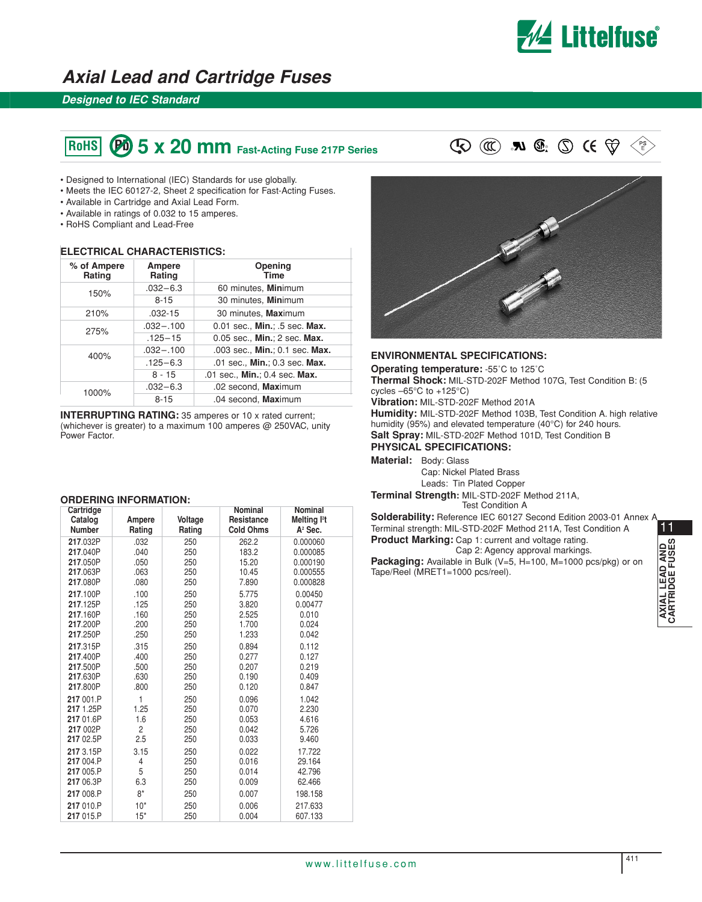

## **Axial Lead and Cartridge Fuses**

### **Designed to IEC Standard**

# **FIGHS**  $\Theta$  5 x 20 mm Fast-Acting Fuse 217P Series  $\mathbb{Q} \times \mathbb{Z}$  **Ru**  $\mathbb{Q} \cdot \mathbb{Q}$  is  $\mathbb{Q} \cdot \mathbb{Q}$

- Designed to International (IEC) Standards for use globally.
- Meets the IEC 60127-2, Sheet 2 specification for Fast-Acting Fuses.
- Available in Cartridge and Axial Lead Form.
- Available in ratings of 0.032 to 15 amperes.
- RoHS Compliant and Lead-Free

#### **ELECTRICAL CHARACTERISTICS:**

| % of Ampere<br>Rating | Ampere<br>Rating | Opening<br><b>Time</b>         |
|-----------------------|------------------|--------------------------------|
| 150%                  | $.032 - 6.3$     | 60 minutes, Minimum            |
|                       | $8 - 15$         | 30 minutes, Minimum            |
| 210%                  | $.032 - 15$      | 30 minutes, Maximum            |
| 275%                  | $.032 - .100$    | 0.01 sec., Min.; .5 sec. Max.  |
|                       | $.125 - 15$      | 0.05 sec., Min.; 2 sec. Max.   |
| 400%                  | $.032 - .100$    | .003 sec., Min.; 0.1 sec. Max. |
|                       | $.125 - 6.3$     | .01 sec., Min.; 0.3 sec. Max.  |
|                       | $8 - 15$         | .01 sec., Min.; 0.4 sec. Max.  |
| 1000%                 | $.032 - 6.3$     | .02 second, Maximum            |
|                       | $8 - 15$         | .04 second, Maximum            |

**INTERRUPTING RATING:** 35 amperes or 10 x rated current; (whichever is greater) to a maximum 100 amperes @ 250VAC, unity Power Factor.

#### **ORDERING INFORMATION:**

| Cartridge                                        |                               |                          | Nominal                          | Nominal                              |
|--------------------------------------------------|-------------------------------|--------------------------|----------------------------------|--------------------------------------|
| Catalog                                          | Ampere                        | Voltage                  | Resistance                       | Melting <sup>12</sup> t              |
| <b>Number</b>                                    | Rating                        | Rating                   | <b>Cold Ohms</b>                 | $A2$ Sec.                            |
| 217.032P                                         | .032                          | 250                      | 262.2                            | 0.000060                             |
| 217.040P                                         | .040                          | 250                      | 183.2                            | 0.000085                             |
| 217.050P                                         | .050                          | 250                      | 15.20                            | 0.000190                             |
| 217.063P                                         | .063                          | 250                      | 10.45                            | 0.000555                             |
| 217.080P                                         | .080                          | 250                      | 7.890                            | 0.000828                             |
| 217.100P                                         | .100                          | 250                      | 5.775                            | 0.00450                              |
| 217.125P                                         | .125                          | 250                      | 3.820                            | 0.00477                              |
| 217.160P                                         | .160                          | 250                      | 2.525                            | 0.010                                |
| 217.200P                                         | .200                          | 250                      | 1.700                            | 0.024                                |
| 217.250P                                         | .250                          | 250                      | 1.233                            | 0.042                                |
| 217.315P                                         | .315                          | 250                      | 0.894                            | 0.112                                |
| 217.400P                                         | .400                          | 250                      | 0.277                            | 0.127                                |
| 217.500P                                         | .500                          | 250                      | 0.207                            | 0.219                                |
| 217.630P                                         | .630                          | 250                      | 0.190                            | 0.409                                |
| 217.800P                                         | .800                          | 250                      | 0.120                            | 0.847                                |
| 217 001.P                                        | 1                             | 250                      | 0.096                            | 1.042                                |
| 217 1.25P                                        | 1.25                          | 250                      | 0.070                            | 2.230                                |
| 217 01.6P                                        | 1.6                           | 250                      | 0.053                            | 4.616                                |
| 217 002P                                         | $\overline{c}$                | 250                      | 0.042                            | 5.726                                |
| 217 02.5P                                        | 2.5                           | 250                      | 0.033                            | 9.460                                |
| 217 3.15P<br>217 004.P<br>217 005.P<br>217 06.3P | 3.15<br>4<br>5<br>6.3<br>$8*$ | 250<br>250<br>250<br>250 | 0.022<br>0.016<br>0.014<br>0.009 | 17.722<br>29.164<br>42.796<br>62.466 |
| 217 008.P<br>217 010.P<br>217 015.P              | $10*$<br>$15*$                | 250<br>250<br>250        | 0.007<br>0.006<br>0.004          | 198.158<br>217.633<br>607.133        |





### **ENVIRONMENTAL SPECIFICATIONS:**

**Operating temperature:** -55˚C to 125˚C **Thermal Shock:** MIL-STD-202F Method 107G, Test Condition B: (5 cycles  $-65^{\circ}$ C to  $+125^{\circ}$ C)

**Vibration:** MIL-STD-202F Method 201A

**Humidity:** MIL-STD-202F Method 103B, Test Condition A. high relative humidity (95%) and elevated temperature (40°C) for 240 hours. **Salt Spray:** MIL-STD-202F Method 101D, Test Condition B **PHYSICAL SPECIFICATIONS:**

**Material:** Body: Glass

Cap: Nickel Plated Brass Leads: Tin Plated Copper

**Terminal Strength:** MIL-STD-202F Method 211A, Test Condition A

**Solderability:** Reference IEC 60127 Second Edition 2003-01 Annex A Terminal strength: MIL-STD-202F Method 211A, Test Condition A **Product Marking:** Cap 1: current and voltage rating. Cap 2: Agency approval markings. **Packaging:** Available in Bulk (V=5, H=100, M=1000 pcs/pkg) or on

Tape/Reel (MRET1=1000 pcs/reel).

11